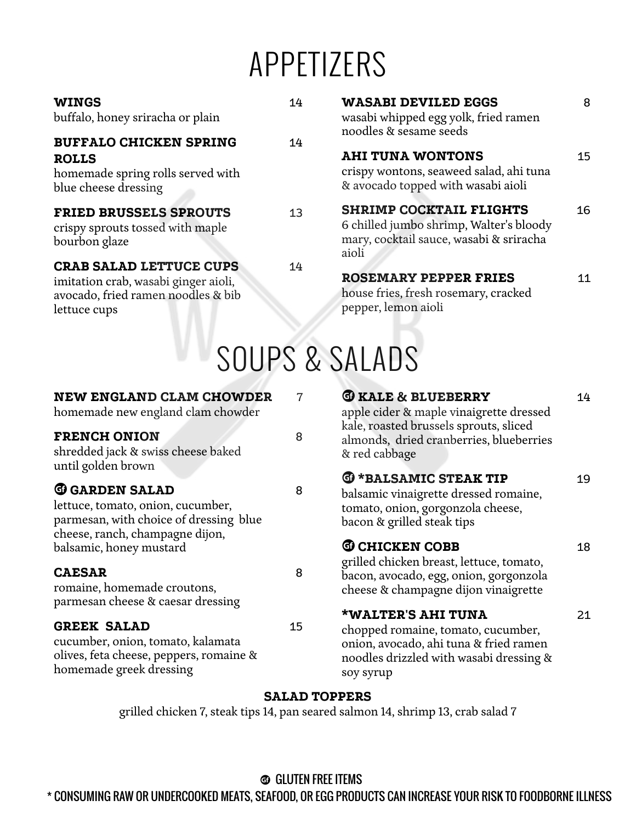# APPETIZERS

| <b>WINGS</b><br>buffalo, honey sriracha or plain                                                                             | 14 | <b>WASABI DEVILED EGGS</b><br>wasabi whipped egg yolk, fried ramen<br>noodles & sesame seeds                                  | 8  |
|------------------------------------------------------------------------------------------------------------------------------|----|-------------------------------------------------------------------------------------------------------------------------------|----|
| <b>BUFFALO CHICKEN SPRING</b><br><b>ROLLS</b><br>homemade spring rolls served with<br>blue cheese dressing                   | 14 | <b>AHI TUNA WONTONS</b><br>crispy wontons, seaweed salad, ahi tuna<br>& avocado topped with wasabi aioli                      | 15 |
| <b>FRIED BRUSSELS SPROUTS</b><br>crispy sprouts tossed with maple<br>bourbon glaze                                           | 13 | <b>SHRIMP COCKTAIL FLIGHTS</b><br>6 chilled jumbo shrimp, Walter's bloody<br>mary, cocktail sauce, wasabi & sriracha<br>aioli | 16 |
| <b>CRAB SALAD LETTUCE CUPS</b><br>imitation crab, wasabi ginger aioli,<br>avocado, fried ramen noodles & bib<br>lettuce cups | 14 | <b>ROSEMARY PEPPER FRIES</b><br>house fries, fresh rosemary, cracked<br>pepper, lemon aioli                                   | 11 |

| SOUPS & SALADS |  |
|----------------|--|
|----------------|--|

### **NEW ENGLAND CLAM CHOWDER** 7

homemade new england clam chowder

### **FRENCH ONION** 8

shredded jack & swiss cheese baked until golden brown

## **G** GARDEN SALAD 8

lettuce, tomato, onion, cucumber, parmesan, with choice of dressing blue cheese, ranch, champagne dijon, balsamic, honey mustard **CHICKEN COBB** 18

### **CAESAR** 8

romaine, homemade croutons, parmesan cheese & caesar dressing

### GREEK SALAD 15

cucumber, onion, tomato, kalamata olives, feta cheese, peppers, romaine & homemade greek dressing

**G** KALE & BLUEBERRY 14 apple cider & maple vinaigrette dressed kale, roasted brussels sprouts, sliced almonds, dried cranberries, blueberries & red cabbage

## **G** \*BALSAMIC STEAK TIP 19

balsamic vinaigrette dressed romaine, tomato, onion, gorgonzola cheese, bacon & grilled steak tips

grilled chicken breast, lettuce, tomato, bacon, avocado, egg, onion, gorgonzola cheese & champagne dijon vinaigrette

### **\*WALTER'S AHI TUNA** 21

chopped romaine, tomato, cucumber, onion, avocado, ahi tuna & fried ramen noodles drizzled with wasabi dressing & soy syrup

### **SALAD TOPPERS**

grilled chicken 7, steak tips 14, pan seared salmon 14, shrimp 13, crab salad 7

# **<sup>3</sup>** GLUTEN FREE ITEMS

\* CONSUMING RAW OR UNDERCOOKED MEATS, SEAFOOD, OR EGG PRODUCTS CAN INCREASE YOUR RISK TO FOODBORNE ILLNESS